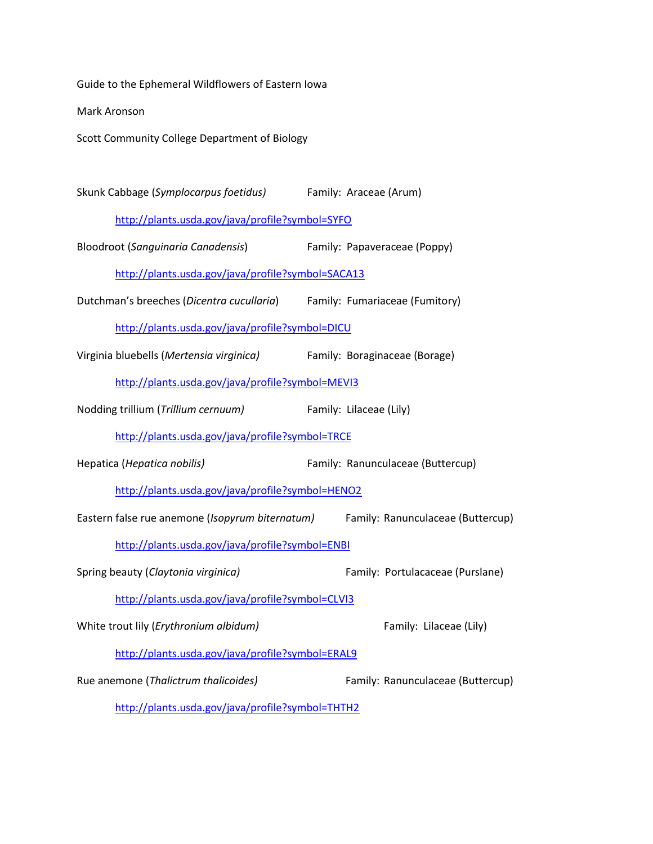Guide to the Ephemeral Wildflowers of Eastern Iowa

Mark Aronson

Scott Community College Department of Biology

Skunk Cabbage (*Symplocarpus foetidus)* Family: Araceae (Arum)

<http://plants.usda.gov/java/profile?symbol=SYFO>

Bloodroot (*Sanguinaria Canadensis*) Family: Papaveraceae (Poppy)

<http://plants.usda.gov/java/profile?symbol=SACA13>

Dutchman's breeches (*Dicentra cucullaria*) Family: Fumariaceae (Fumitory)

<http://plants.usda.gov/java/profile?symbol=DICU>

Virginia bluebells (*Mertensia virginica)* Family: Boraginaceae (Borage)

<http://plants.usda.gov/java/profile?symbol=MEVI3>

Nodding trillium (*Trillium cernuum)* Family: Lilaceae (Lily)

<http://plants.usda.gov/java/profile?symbol=TRCE>

Hepatica (*Hepatica nobilis)* Family: Ranunculaceae (Buttercup)

<http://plants.usda.gov/java/profile?symbol=HENO2>

Eastern false rue anemone (*Isopyrum biternatum)* Family: Ranunculaceae (Buttercup)

<http://plants.usda.gov/java/profile?symbol=ENBI>

Spring beauty (*Claytonia virginica)* Family: Portulacaceae (Purslane)

<http://plants.usda.gov/java/profile?symbol=CLVI3>

White trout lily (*Erythronium albidum*) Family: Lilaceae (Lily)

<http://plants.usda.gov/java/profile?symbol=ERAL9>

Rue anemone (*Thalictrum thalicoides)* Family: Ranunculaceae (Buttercup)

<http://plants.usda.gov/java/profile?symbol=THTH2>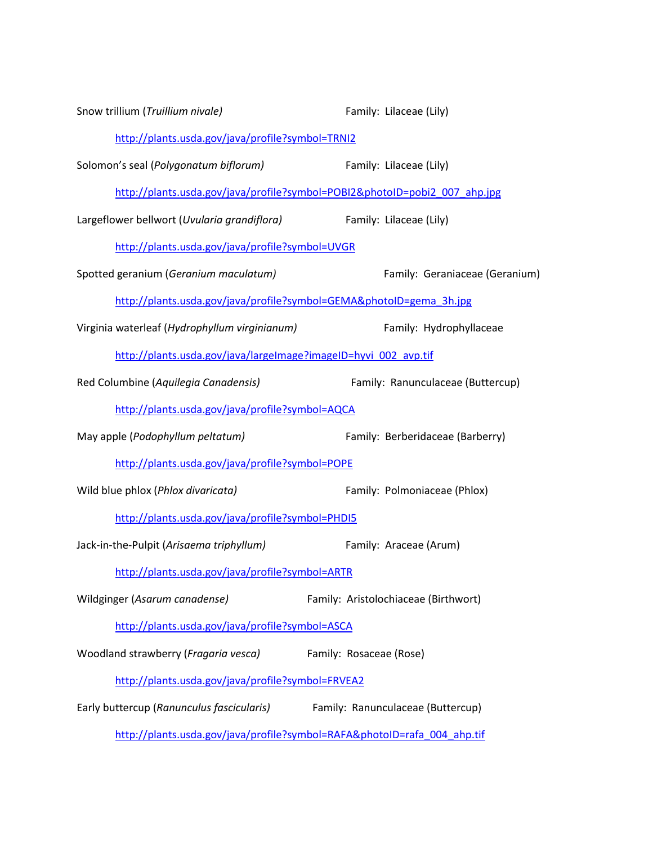| Snow trillium (Truillium nivale)                                    | Family: Lilaceae (Lily)                                                    |
|---------------------------------------------------------------------|----------------------------------------------------------------------------|
| http://plants.usda.gov/java/profile?symbol=TRNI2                    |                                                                            |
| Solomon's seal (Polygonatum biflorum)                               | Family: Lilaceae (Lily)                                                    |
|                                                                     | http://plants.usda.gov/java/profile?symbol=POBI2&photoID=pobi2_007_ahp.jpg |
| Largeflower bellwort (Uvularia grandiflora)                         | Family: Lilaceae (Lily)                                                    |
| http://plants.usda.gov/java/profile?symbol=UVGR                     |                                                                            |
| Spotted geranium (Geranium maculatum)                               | Family: Geraniaceae (Geranium)                                             |
| http://plants.usda.gov/java/profile?symbol=GEMA&photoID=gema 3h.jpg |                                                                            |
| Virginia waterleaf (Hydrophyllum virginianum)                       | Family: Hydrophyllaceae                                                    |
| http://plants.usda.gov/java/largeImage?imageID=hyvi_002_avp.tif     |                                                                            |
| Red Columbine (Aquilegia Canadensis)                                | Family: Ranunculaceae (Buttercup)                                          |
| http://plants.usda.gov/java/profile?symbol=AQCA                     |                                                                            |
| May apple (Podophyllum peltatum)                                    | Family: Berberidaceae (Barberry)                                           |
| http://plants.usda.gov/java/profile?symbol=POPE                     |                                                                            |
| Wild blue phlox (Phlox divaricata)                                  | Family: Polmoniaceae (Phlox)                                               |
| http://plants.usda.gov/java/profile?symbol=PHDI5                    |                                                                            |
| Jack-in-the-Pulpit (Arisaema triphyllum)                            | Family: Araceae (Arum)                                                     |
| http://plants.usda.gov/java/profile?symbol=ARTR                     |                                                                            |
| Wildginger (Asarum canadense)                                       | Family: Aristolochiaceae (Birthwort)                                       |
| http://plants.usda.gov/java/profile?symbol=ASCA                     |                                                                            |
| Woodland strawberry (Fragaria vesca)                                | Family: Rosaceae (Rose)                                                    |
| http://plants.usda.gov/java/profile?symbol=FRVEA2                   |                                                                            |
| Early buttercup (Ranunculus fascicularis)                           | Family: Ranunculaceae (Buttercup)                                          |
|                                                                     | http://plants.usda.gov/java/profile?symbol=RAFA&photoID=rafa 004 ahp.tif   |